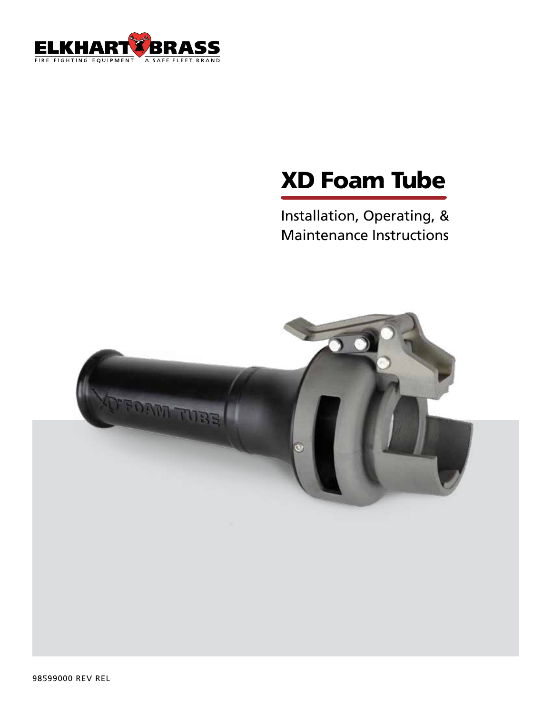

# **XD Foam Tube**

Installation, Operating, & **Maintenance Instructions** 

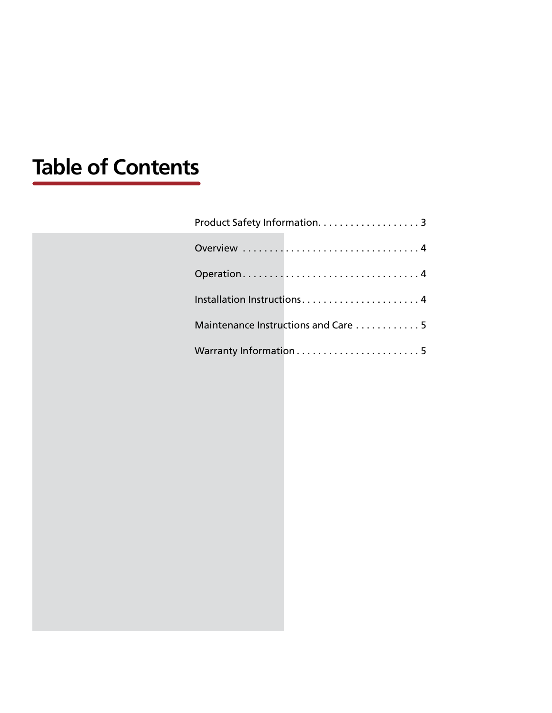## **Table of Contents**

| Product Safety Information. 3       |  |
|-------------------------------------|--|
| Overview 4                          |  |
| Operation4                          |  |
| Installation Instructions4          |  |
| Maintenance Instructions and Care 5 |  |
|                                     |  |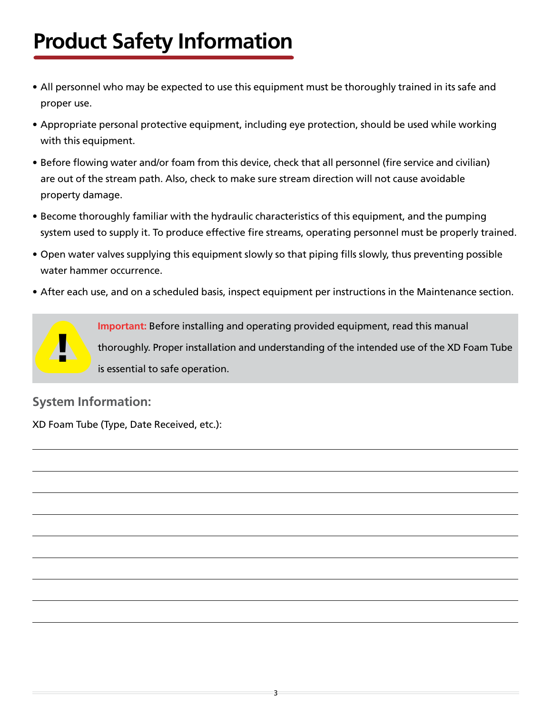## <span id="page-2-0"></span>**Product Safety Information**

- All personnel who may be expected to use this equipment must be thoroughly trained in its safe and proper use.
- Appropriate personal protective equipment, including eye protection, should be used while working with this equipment.
- Before flowing water and/or foam from this device, check that all personnel (fire service and civilian) are out of the stream path. Also, check to make sure stream direction will not cause avoidable property damage.
- Become thoroughly familiar with the hydraulic characteristics of this equipment, and the pumping system used to supply it. To produce effective fire streams, operating personnel must be properly trained.
- Open water valves supplying this equipment slowly so that piping fills slowly, thus preventing possible water hammer occurrence.
- After each use, and on a scheduled basis, inspect equipment per instructions in the Maintenance section.



**Important:** Before installing and operating provided equipment, read this manual thoroughly. Proper installation and understanding of the intended use of the XD Foam Tube is essential to safe operation.

#### **System Information:**

XD Foam Tube (Type, Date Received, etc.):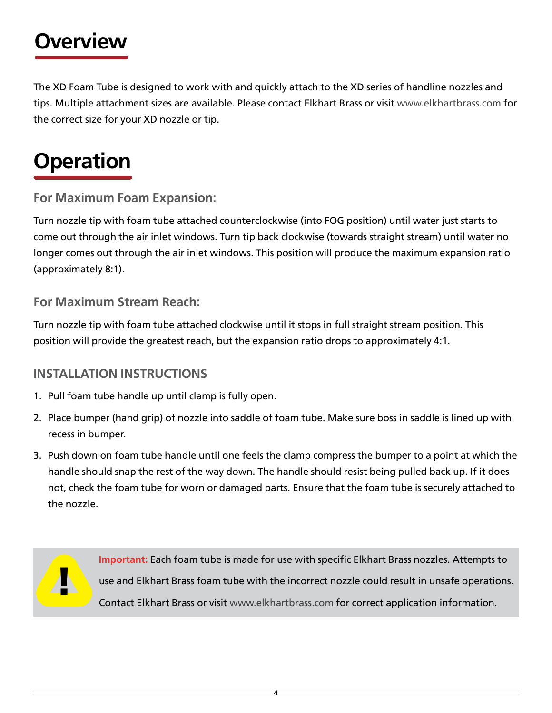### <span id="page-3-0"></span>**Overview**

The XD Foam Tube is designed to work with and quickly attach to the XD series of handline nozzles and tips. Multiple attachment sizes are available. Please contact Elkhart Brass or visit [www.elkhartbrass.com](http://www.elkhartbrass.com) for the correct size for your XD nozzle or tip.

### **Operation**

**For Maximum Foam Expansion:**

Turn nozzle tip with foam tube attached counterclockwise (into FOG position) until water just starts to come out through the air inlet windows. Turn tip back clockwise (towards straight stream) until water no longer comes out through the air inlet windows. This position will produce the maximum expansion ratio (approximately 8:1).

**For Maximum Stream Reach:**

Turn nozzle tip with foam tube attached clockwise until it stops in full straight stream position. This position will provide the greatest reach, but the expansion ratio drops to approximately 4:1.

#### **INSTALLATION INSTRUCTIONS**

- 1. Pull foam tube handle up until clamp is fully open.
- 2. Place bumper (hand grip) of nozzle into saddle of foam tube. Make sure boss in saddle is lined up with recess in bumper.
- 3. Push down on foam tube handle until one feels the clamp compress the bumper to a point at which the handle should snap the rest of the way down. The handle should resist being pulled back up. If it does not, check the foam tube for worn or damaged parts. Ensure that the foam tube is securely attached to the nozzle.

4



**Important:** Each foam tube is made for use with specific Elkhart Brass nozzles. Attempts to use and Elkhart Brass foam tube with the incorrect nozzle could result in unsafe operations. Contact Elkhart Brass or visit [www.elkhartbrass.com](http://www.elkhartbrass.com) for correct application information.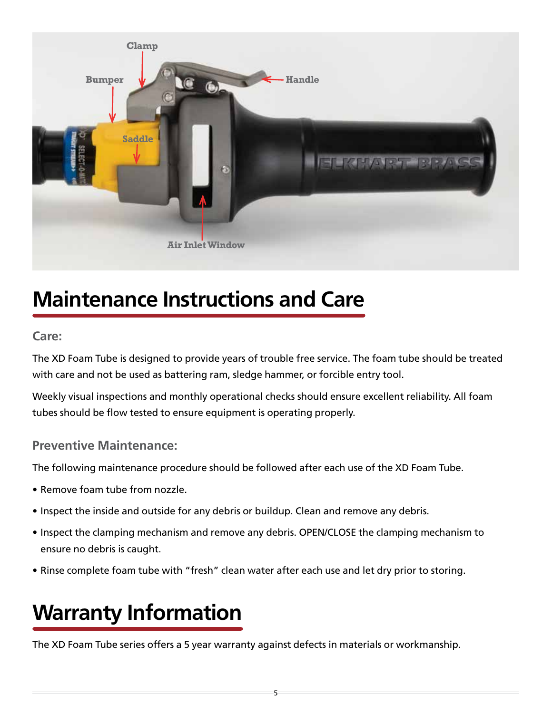<span id="page-4-0"></span>

### **Maintenance Instructions and Care**

#### **Care:**

The XD Foam Tube is designed to provide years of trouble free service. The foam tube should be treated with care and not be used as battering ram, sledge hammer, or forcible entry tool.

Weekly visual inspections and monthly operational checks should ensure excellent reliability. All foam tubes should be flow tested to ensure equipment is operating properly.

#### **Preventive Maintenance:**

The following maintenance procedure should be followed after each use of the XD Foam Tube.

- Remove foam tube from nozzle.
- Inspect the inside and outside for any debris or buildup. Clean and remove any debris.
- Inspect the clamping mechanism and remove any debris. OPEN/CLOSE the clamping mechanism to ensure no debris is caught.
- Rinse complete foam tube with "fresh" clean water after each use and let dry prior to storing.

### **Warranty Information**

The XD Foam Tube series offers a 5 year warranty against defects in materials or workmanship.